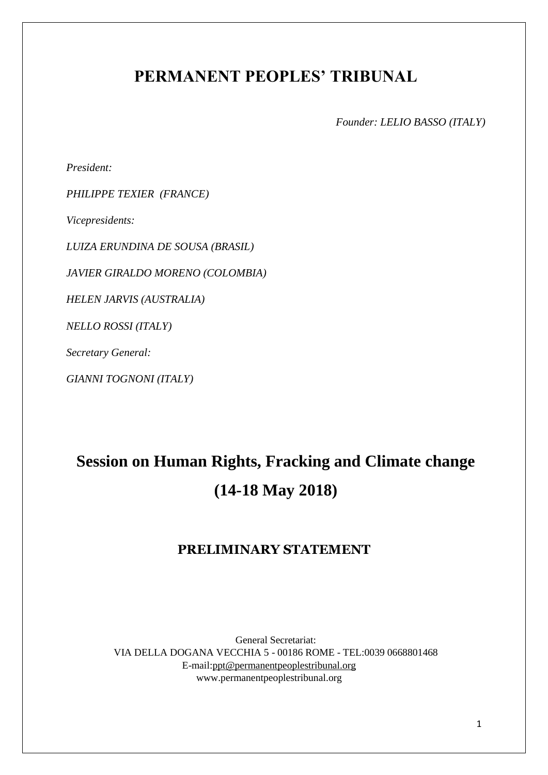# **PERMANENT PEOPLES' TRIBUNAL**

*Founder: LELIO BASSO (ITALY)*

*President:* 

*PHILIPPE TEXIER (FRANCE)* 

*Vicepresidents:*

*LUIZA ERUNDINA DE SOUSA (BRASIL)*

*JAVIER GIRALDO MORENO (COLOMBIA)*

*HELEN JARVIS (AUSTRALIA)*

*NELLO ROSSI (ITALY)*

*Secretary General:* 

*GIANNI TOGNONI (ITALY)*

# **Session on Human Rights, Fracking and Climate change (14-18 May 2018)**

## **PRELIMINARY STATEMENT**

General Secretariat: VIA DELLA DOGANA VECCHIA 5 - 00186 ROME - TEL:0039 0668801468 E-mail:ppt@permanentpeoplestribunal.org www.permanentpeoplestribunal.org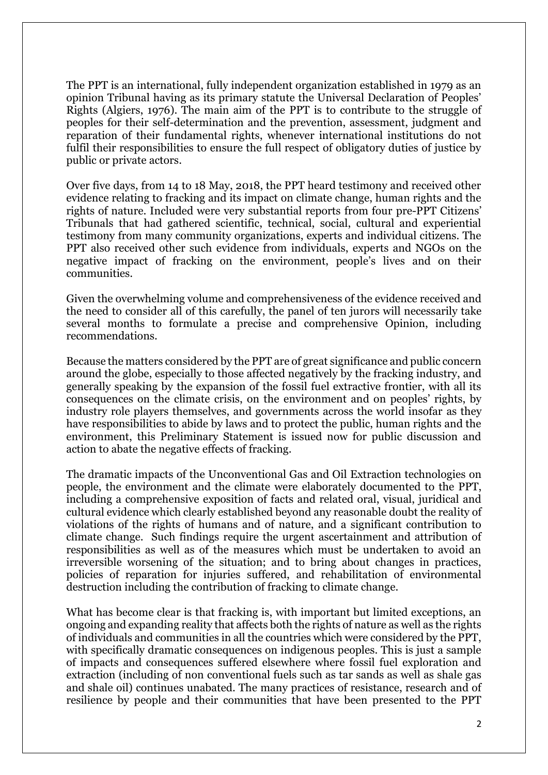The PPT is an international, fully independent organization established in 1979 as an opinion Tribunal having as its primary statute the Universal Declaration of Peoples' Rights (Algiers, 1976). The main aim of the PPT is to contribute to the struggle of peoples for their self-determination and the prevention, assessment, judgment and reparation of their fundamental rights, whenever international institutions do not fulfil their responsibilities to ensure the full respect of obligatory duties of justice by public or private actors.

Over five days, from 14 to 18 May, 2018, the PPT heard testimony and received other evidence relating to fracking and its impact on climate change, human rights and the rights of nature. Included were very substantial reports from four pre-PPT Citizens' Tribunals that had gathered scientific, technical, social, cultural and experiential testimony from many community organizations, experts and individual citizens. The PPT also received other such evidence from individuals, experts and NGOs on the negative impact of fracking on the environment, people's lives and on their communities.

Given the overwhelming volume and comprehensiveness of the evidence received and the need to consider all of this carefully, the panel of ten jurors will necessarily take several months to formulate a precise and comprehensive Opinion, including recommendations.

Because the matters considered by the PPT are of great significance and public concern around the globe, especially to those affected negatively by the fracking industry, and generally speaking by the expansion of the fossil fuel extractive frontier, with all its consequences on the climate crisis, on the environment and on peoples' rights, by industry role players themselves, and governments across the world insofar as they have responsibilities to abide by laws and to protect the public, human rights and the environment, this Preliminary Statement is issued now for public discussion and action to abate the negative effects of fracking.

The dramatic impacts of the Unconventional Gas and Oil Extraction technologies on people, the environment and the climate were elaborately documented to the PPT, including a comprehensive exposition of facts and related oral, visual, juridical and cultural evidence which clearly established beyond any reasonable doubt the reality of violations of the rights of humans and of nature, and a significant contribution to climate change. Such findings require the urgent ascertainment and attribution of responsibilities as well as of the measures which must be undertaken to avoid an irreversible worsening of the situation; and to bring about changes in practices, policies of reparation for injuries suffered, and rehabilitation of environmental destruction including the contribution of fracking to climate change.

What has become clear is that fracking is, with important but limited exceptions, an ongoing and expanding reality that affects both the rights of nature as well as the rights of individuals and communities in all the countries which were considered by the PPT, with specifically dramatic consequences on indigenous peoples. This is just a sample of impacts and consequences suffered elsewhere where fossil fuel exploration and extraction (including of non conventional fuels such as tar sands as well as shale gas and shale oil) continues unabated. The many practices of resistance, research and of resilience by people and their communities that have been presented to the PPT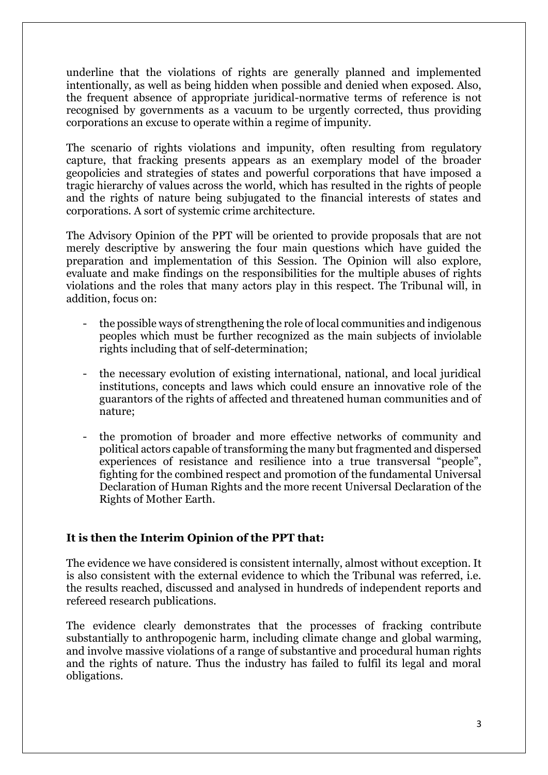underline that the violations of rights are generally planned and implemented intentionally, as well as being hidden when possible and denied when exposed. Also, the frequent absence of appropriate juridical-normative terms of reference is not recognised by governments as a vacuum to be urgently corrected, thus providing corporations an excuse to operate within a regime of impunity.

The scenario of rights violations and impunity, often resulting from regulatory capture, that fracking presents appears as an exemplary model of the broader geopolicies and strategies of states and powerful corporations that have imposed a tragic hierarchy of values across the world, which has resulted in the rights of people and the rights of nature being subjugated to the financial interests of states and corporations. A sort of systemic crime architecture.

The Advisory Opinion of the PPT will be oriented to provide proposals that are not merely descriptive by answering the four main questions which have guided the preparation and implementation of this Session. The Opinion will also explore, evaluate and make findings on the responsibilities for the multiple abuses of rights violations and the roles that many actors play in this respect. The Tribunal will, in addition, focus on:

- the possible ways of strengthening the role of local communities and indigenous peoples which must be further recognized as the main subjects of inviolable rights including that of self-determination;
- the necessary evolution of existing international, national, and local juridical institutions, concepts and laws which could ensure an innovative role of the guarantors of the rights of affected and threatened human communities and of nature;
- the promotion of broader and more effective networks of community and political actors capable of transforming the many but fragmented and dispersed experiences of resistance and resilience into a true transversal "people", fighting for the combined respect and promotion of the fundamental Universal Declaration of Human Rights and the more recent Universal Declaration of the Rights of Mother Earth.

### **It is then the Interim Opinion of the PPT that:**

The evidence we have considered is consistent internally, almost without exception. It is also consistent with the external evidence to which the Tribunal was referred, i.e. the results reached, discussed and analysed in hundreds of independent reports and refereed research publications.

The evidence clearly demonstrates that the processes of fracking contribute substantially to anthropogenic harm, including climate change and global warming, and involve massive violations of a range of substantive and procedural human rights and the rights of nature. Thus the industry has failed to fulfil its legal and moral obligations.